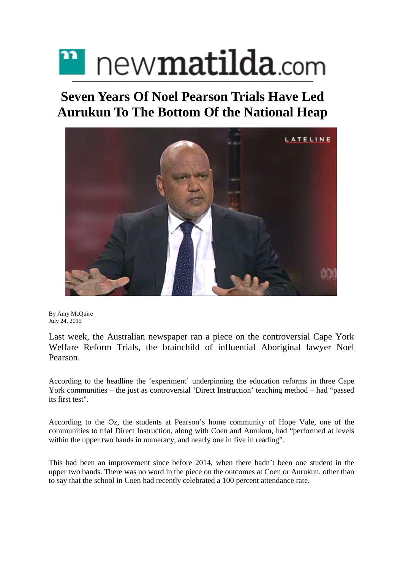## new**matilda**.com **\_\_\_\_\_\_\_\_\_\_\_\_\_\_\_\_\_\_\_\_\_\_\_\_\_\_\_\_\_\_\_\_\_\_\_\_\_\_\_\_\_\_\_\_\_\_\_\_\_\_\_\_\_\_\_\_\_\_\_\_\_\_\_\_\_\_\_\_\_\_\_\_\_\_\_\_\_\_\_\_\_\_\_\_\_\_\_\_\_**

## **Seven Years Of Noel Pearson Trials Have Led Aurukun To The Bottom Of the National Heap**



By Amy [McQuire](https://newmatilda.com/author/amy-mcquire/) July 24, 2015

Last week, the Australian newspaper ran a piece on the controversial Cape York Welfare Reform Trials, the brainchild of influential Aboriginal lawyer Noel Pearson.

According to the headline the 'experiment' underpinning the education reforms in three Cape York communities – the just as controversial 'Direct Instruction' teaching method – had "passed its first test".

According to the Oz, the students at Pearson's home community of Hope Vale, one of the communities to trial Direct Instruction, along with Coen and Aurukun, had "performed at levels within the upper two bands in numeracy, and nearly one in five in reading".

This had been an improvement since before 2014, when there hadn't been one student in the upper two bands. There was no word in the piece on the outcomes at Coen or Aurukun, other than to say that the school in Coen had recently celebrated a 100 percent attendance rate.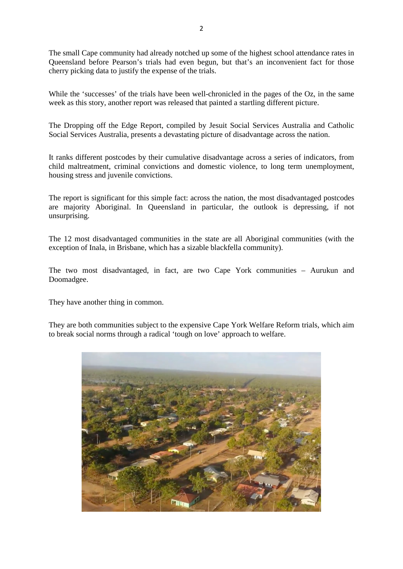The small Cape community had already notched up some of the highest school attendance rates in Queensland before Pearson's trials had even begun, but that's an inconvenient fact for those cherry picking data to justify the expense of the trials.

While the 'successes' of the trials have been well-chronicled in the pages of the Oz, in the same week as this story, another report was released that painted a startling different picture.

The Dropping off the Edge Report, compiled by Jesuit Social Services Australia and Catholic Social Services Australia, presents a devastating picture of disadvantage across the nation.

It ranks different postcodes by their cumulative disadvantage across a series of indicators, from child maltreatment, criminal convictions and domestic violence, to long term unemployment, housing stress and juvenile convictions.

The report is significant for this simple fact: across the nation, the most disadvantaged postcodes are majority Aboriginal. In Queensland in particular, the outlook is depressing, if not unsurprising.

The 12 most disadvantaged communities in the state are all Aboriginal communities (with the exception of Inala, in Brisbane, which has a sizable blackfella community).

The two most disadvantaged, in fact, are two Cape York communities – Aurukun and Doomadgee.

They have another thing in common.

They are both communities subject to the expensive Cape York Welfare Reform trials, which aim to break social norms through a radical 'tough on love' approach to welfare.

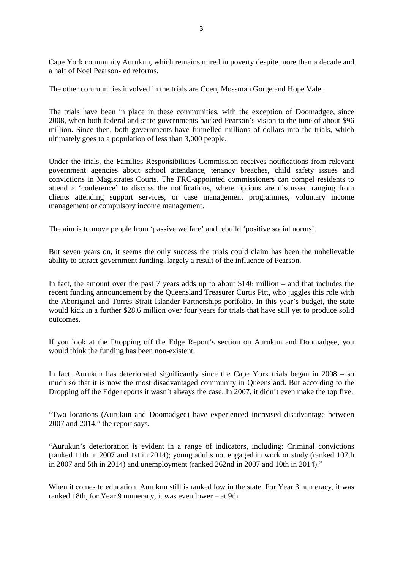Cape York community Aurukun, which remains mired in poverty despite more than a decade and a half of Noel Pearson-led reforms.

The other communities involved in the trials are Coen, Mossman Gorge and Hope Vale.

The trials have been in place in these communities, with the exception of Doomadgee, since 2008, when both federal and state governments backed Pearson's vision to the tune of about \$96 million. Since then, both governments have funnelled millions of dollars into the trials, which ultimately goes to a population of less than 3,000 people.

Under the trials, the Families Responsibilities Commission receives notifications from relevant government agencies about school attendance, tenancy breaches, child safety issues and convictions in Magistrates Courts. The FRC-appointed commissioners can compel residents to attend a 'conference' to discuss the notifications, where options are discussed ranging from clients attending support services, or case management programmes, voluntary income management or compulsory income management.

The aim is to move people from 'passive welfare' and rebuild 'positive social norms'.

But seven years on, it seems the only success the trials could claim has been the unbelievable ability to attract government funding, largely a result of the influence of Pearson.

In fact, the amount over the past 7 years adds up to about \$146 million – and that includes the recent funding announcement by the Queensland Treasurer Curtis Pitt, who juggles this role with the Aboriginal and Torres Strait Islander Partnerships portfolio. In this year's budget, the state would kick in a further \$28.6 million over four years for trials that have still yet to produce solid outcomes.

If you look at the Dropping off the Edge Report's section on Aurukun and Doomadgee, you would think the funding has been non-existent.

In fact, Aurukun has deteriorated significantly since the Cape York trials began in 2008 – so much so that it is now the most disadvantaged community in Queensland. But according to the Dropping off the Edge reports it wasn't always the case. In 2007, it didn't even make the top five.

"Two locations (Aurukun and Doomadgee) have experienced increased disadvantage between 2007 and 2014," the report says.

"Aurukun's deterioration is evident in a range of indicators, including: Criminal convictions (ranked 11th in 2007 and 1st in 2014); young adults not engaged in work or study (ranked 107th in 2007 and 5th in 2014) and unemployment (ranked 262nd in 2007 and 10th in 2014)."

When it comes to education, Aurukun still is ranked low in the state. For Year 3 numeracy, it was ranked 18th, for Year 9 numeracy, it was even lower – at 9th.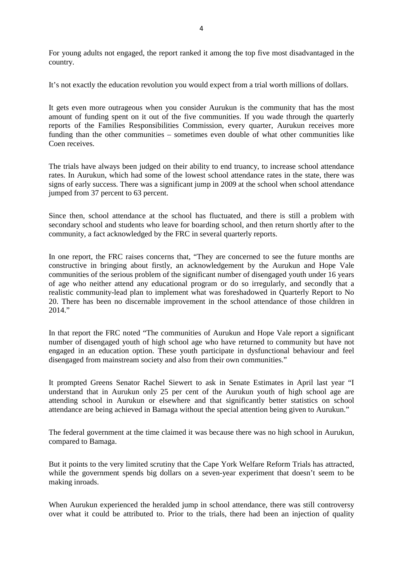For young adults not engaged, the report ranked it among the top five most disadvantaged in the country.

It's not exactly the education revolution you would expect from a trial worth millions of dollars.

It gets even more outrageous when you consider Aurukun is the community that has the most amount of funding spent on it out of the five communities. If you wade through the quarterly reports of the Families Responsibilities Commission, every quarter, Aurukun receives more funding than the other communities – sometimes even double of what other communities like Coen receives.

The trials have always been judged on their ability to end truancy, to increase school attendance rates. In Aurukun, which had some of the lowest school attendance rates in the state, there was signs of early success. There was a significant jump in 2009 at the school when school attendance jumped from 37 percent to 63 percent.

Since then, school attendance at the school has fluctuated, and there is still a problem with secondary school and students who leave for boarding school, and then return shortly after to the community, a fact acknowledged by the FRC in several quarterly reports.

In one report, the FRC raises concerns that, "They are concerned to see the future months are constructive in bringing about firstly, an acknowledgement by the Aurukun and Hope Vale communities of the serious problem of the significant number of disengaged youth under 16 years of age who neither attend any educational program or do so irregularly, and secondly that a realistic community-lead plan to implement what was foreshadowed in Quarterly Report to No 20. There has been no discernable improvement in the school attendance of those children in  $2014$ "

In that report the FRC noted "The communities of Aurukun and Hope Vale report a significant number of disengaged youth of high school age who have returned to community but have not engaged in an education option. These youth participate in dysfunctional behaviour and feel disengaged from mainstream society and also from their own communities."

It prompted Greens Senator Rachel Siewert to ask in Senate Estimates in April last year "I understand that in Aurukun only 25 per cent of the Aurukun youth of high school age are attending school in Aurukun or elsewhere and that significantly better statistics on school attendance are being achieved in Bamaga without the special attention being given to Aurukun."

The federal government at the time claimed it was because there was no high school in Aurukun, compared to Bamaga.

But it points to the very limited scrutiny that the Cape York Welfare Reform Trials has attracted, while the government spends big dollars on a seven-year experiment that doesn't seem to be making inroads.

When Aurukun experienced the heralded jump in school attendance, there was still controversy over what it could be attributed to. Prior to the trials, there had been an injection of quality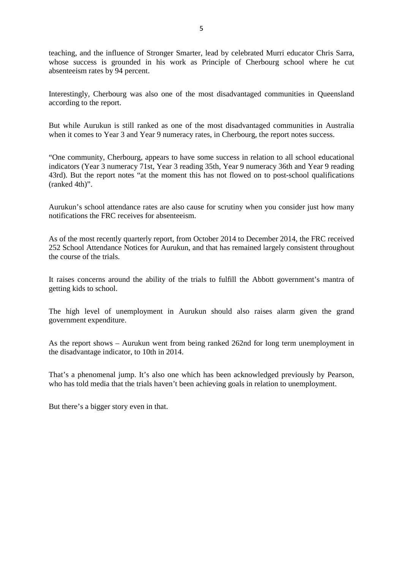teaching, and the influence of Stronger Smarter, lead by celebrated Murri educator Chris Sarra, whose success is grounded in his work as Principle of Cherbourg school where he cut absenteeism rates by 94 percent.

Interestingly, Cherbourg was also one of the most disadvantaged communities in Queensland according to the report.

But while Aurukun is still ranked as one of the most disadvantaged communities in Australia when it comes to Year 3 and Year 9 numeracy rates, in Cherbourg, the report notes success.

"One community, Cherbourg, appears to have some success in relation to all school educational indicators (Year 3 numeracy 71st, Year 3 reading 35th, Year 9 numeracy 36th and Year 9 reading 43rd). But the report notes "at the moment this has not flowed on to post-school qualifications (ranked 4th)".

Aurukun's school attendance rates are also cause for scrutiny when you consider just how many notifications the FRC receives for absenteeism.

As of the most recently quarterly report, from October 2014 to December 2014, the FRC received 252 School Attendance Notices for Aurukun, and that has remained largely consistent throughout the course of the trials.

It raises concerns around the ability of the trials to fulfill the Abbott government's mantra of getting kids to school.

The high level of unemployment in Aurukun should also raises alarm given the grand government expenditure.

As the report shows – Aurukun went from being ranked 262nd for long term unemployment in the disadvantage indicator, to 10th in 2014.

That's a phenomenal jump. It's also one which has been acknowledged previously by Pearson, who has told media that the trials haven't been achieving goals in relation to unemployment.

But there's a bigger story even in that.